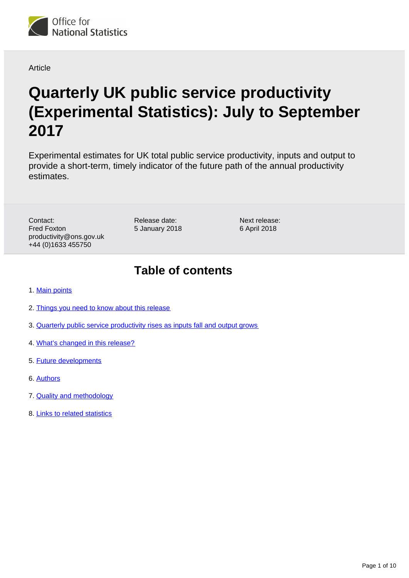

Article

# **Quarterly UK public service productivity (Experimental Statistics): July to September 2017**

Experimental estimates for UK total public service productivity, inputs and output to provide a short-term, timely indicator of the future path of the annual productivity estimates.

Contact: Fred Foxton productivity@ons.gov.uk +44 (0)1633 455750

Release date: 5 January 2018

Next release: 6 April 2018

### **Table of contents**

- 1. [Main points](#page-1-0)
- 2. [Things you need to know about this release](#page-1-1)
- 3. [Quarterly public service productivity rises as inputs fall and output grows](#page-2-0)
- 4. [What's changed in this release?](#page-6-0)
- 5. [Future developments](#page-8-0)
- 6. [Authors](#page-8-1)
- 7. [Quality and methodology](#page-8-2)
- 8. [Links to related statistics](#page-8-3)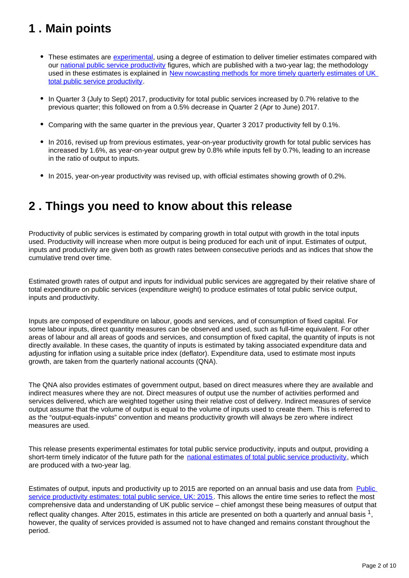# <span id="page-1-0"></span>**1 . Main points**

- These estimates are [experimental,](https://www.ons.gov.uk/methodology/methodologytopicsandstatisticalconcepts/guidetoexperimentalstatistics) using a degree of estimation to deliver timelier estimates compared with our [national public service productivity](https://www.ons.gov.uk/economy/economicoutputandproductivity/publicservicesproductivity/articles/publicservicesproductivityestimatestotalpublicservices/2015) figures, which are published with a two-year lag; the methodology used in these estimates is explained in [New nowcasting methods for more timely quarterly estimates of UK](https://www.ons.gov.uk/economy/economicoutputandproductivity/publicservicesproductivity/methodologies/newnowcastingmethodsformoretimelyquarterlyestimatesofuktotalpublicserviceproductivity)  [total public service productivity.](https://www.ons.gov.uk/economy/economicoutputandproductivity/publicservicesproductivity/methodologies/newnowcastingmethodsformoretimelyquarterlyestimatesofuktotalpublicserviceproductivity)
- In Quarter 3 (July to Sept) 2017, productivity for total public services increased by 0.7% relative to the previous quarter; this followed on from a 0.5% decrease in Quarter 2 (Apr to June) 2017.
- Comparing with the same quarter in the previous year, Quarter 3 2017 productivity fell by 0.1%.
- In 2016, revised up from previous estimates, year-on-year productivity growth for total public services has increased by 1.6%, as year-on-year output grew by 0.8% while inputs fell by 0.7%, leading to an increase in the ratio of output to inputs.
- In 2015, year-on-year productivity was revised up, with official estimates showing growth of 0.2%.

### <span id="page-1-1"></span>**2 . Things you need to know about this release**

Productivity of public services is estimated by comparing growth in total output with growth in the total inputs used. Productivity will increase when more output is being produced for each unit of input. Estimates of output, inputs and productivity are given both as growth rates between consecutive periods and as indices that show the cumulative trend over time.

Estimated growth rates of output and inputs for individual public services are aggregated by their relative share of total expenditure on public services (expenditure weight) to produce estimates of total public service output, inputs and productivity.

Inputs are composed of expenditure on labour, goods and services, and of consumption of fixed capital. For some labour inputs, direct quantity measures can be observed and used, such as full-time equivalent. For other areas of labour and all areas of goods and services, and consumption of fixed capital, the quantity of inputs is not directly available. In these cases, the quantity of inputs is estimated by taking associated expenditure data and adjusting for inflation using a suitable price index (deflator). Expenditure data, used to estimate most inputs growth, are taken from the quarterly national accounts (QNA).

The QNA also provides estimates of government output, based on direct measures where they are available and indirect measures where they are not. Direct measures of output use the number of activities performed and services delivered, which are weighted together using their relative cost of delivery. Indirect measures of service output assume that the volume of output is equal to the volume of inputs used to create them. This is referred to as the "output-equals-inputs" convention and means productivity growth will always be zero where indirect measures are used.

This release presents experimental estimates for total public service productivity, inputs and output, providing a short-term timely indicator of the future path for the [national estimates of total public service productivity](https://www.ons.gov.uk/economy/economicoutputandproductivity/publicservicesproductivity/articles/publicservicesproductivityestimatestotalpublicservices/2015), which are produced with a two-year lag.

Estimates of output, inputs and productivity up to 2015 are reported on an annual basis and use data from Public [service productivity estimates: total public service, UK: 2015.](https://www.ons.gov.uk/economy/economicoutputandproductivity/publicservicesproductivity/articles/publicservicesproductivityestimatestotalpublicservices/2015) This allows the entire time series to reflect the most comprehensive data and understanding of UK public service – chief amongst these being measures of output that reflect quality changes. After 2015, estimates in this article are presented on both a quarterly and annual basis  $^1$ , however, the quality of services provided is assumed not to have changed and remains constant throughout the period.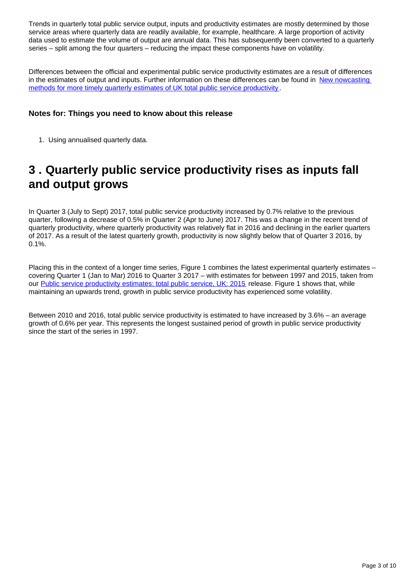Trends in quarterly total public service output, inputs and productivity estimates are mostly determined by those service areas where quarterly data are readily available, for example, healthcare. A large proportion of activity data used to estimate the volume of output are annual data. This has subsequently been converted to a quarterly series – split among the four quarters – reducing the impact these components have on volatility.

Differences between the official and experimental public service productivity estimates are a result of differences in the estimates of output and inputs. Further information on these differences can be found in [New nowcasting](https://www.ons.gov.uk/economy/economicoutputandproductivity/publicservicesproductivity/methodologies/newnowcastingmethodsformoretimelyquarterlyestimatesofuktotalpublicserviceproductivity)  [methods for more timely quarterly estimates of UK total public service productivity](https://www.ons.gov.uk/economy/economicoutputandproductivity/publicservicesproductivity/methodologies/newnowcastingmethodsformoretimelyquarterlyestimatesofuktotalpublicserviceproductivity) .

### **Notes for: Things you need to know about this release**

1. Using annualised quarterly data.

## <span id="page-2-0"></span>**3 . Quarterly public service productivity rises as inputs fall and output grows**

In Quarter 3 (July to Sept) 2017, total public service productivity increased by 0.7% relative to the previous quarter, following a decrease of 0.5% in Quarter 2 (Apr to June) 2017. This was a change in the recent trend of quarterly productivity, where quarterly productivity was relatively flat in 2016 and declining in the earlier quarters of 2017. As a result of the latest quarterly growth, productivity is now slightly below that of Quarter 3 2016, by 0.1%.

Placing this in the context of a longer time series. Figure 1 combines the latest experimental quarterly estimates – covering Quarter 1 (Jan to Mar) 2016 to Quarter 3 2017 – with estimates for between 1997 and 2015, taken from our [Public service productivity estimates: total public service, UK: 2015](https://www.ons.gov.uk/economy/economicoutputandproductivity/publicservicesproductivity/articles/publicservicesproductivityestimatestotalpublicservices/2015) release. Figure 1 shows that, while maintaining an upwards trend, growth in public service productivity has experienced some volatility.

Between 2010 and 2016, total public service productivity is estimated to have increased by 3.6% – an average growth of 0.6% per year. This represents the longest sustained period of growth in public service productivity since the start of the series in 1997.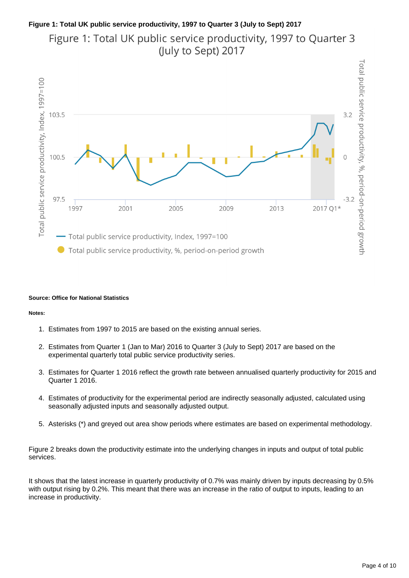### **Figure 1: Total UK public service productivity, 1997 to Quarter 3 (July to Sept) 2017**

Figure 1: Total UK public service productivity, 1997 to Quarter 3 (July to Sept) 2017



#### **Source: Office for National Statistics**

#### **Notes:**

- 1. Estimates from 1997 to 2015 are based on the existing annual series.
- 2. Estimates from Quarter 1 (Jan to Mar) 2016 to Quarter 3 (July to Sept) 2017 are based on the experimental quarterly total public service productivity series.
- 3. Estimates for Quarter 1 2016 reflect the growth rate between annualised quarterly productivity for 2015 and Quarter 1 2016.
- 4. Estimates of productivity for the experimental period are indirectly seasonally adjusted, calculated using seasonally adjusted inputs and seasonally adjusted output.
- 5. Asterisks (\*) and greyed out area show periods where estimates are based on experimental methodology.

Figure 2 breaks down the productivity estimate into the underlying changes in inputs and output of total public services.

It shows that the latest increase in quarterly productivity of 0.7% was mainly driven by inputs decreasing by 0.5% with output rising by 0.2%. This meant that there was an increase in the ratio of output to inputs, leading to an increase in productivity.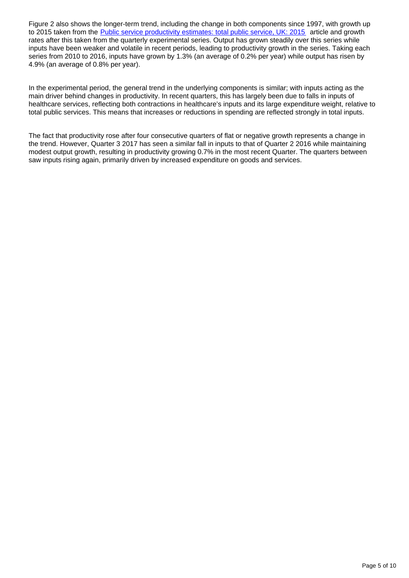Figure 2 also shows the longer-term trend, including the change in both components since 1997, with growth up to 2015 taken from the [Public service productivity estimates: total public service, UK: 2015](https://www.ons.gov.uk/economy/economicoutputandproductivity/publicservicesproductivity/articles/publicservicesproductivityestimatestotalpublicservices/2015) article and growth rates after this taken from the quarterly experimental series. Output has grown steadily over this series while inputs have been weaker and volatile in recent periods, leading to productivity growth in the series. Taking each series from 2010 to 2016, inputs have grown by 1.3% (an average of 0.2% per year) while output has risen by 4.9% (an average of 0.8% per year).

In the experimental period, the general trend in the underlying components is similar; with inputs acting as the main driver behind changes in productivity. In recent quarters, this has largely been due to falls in inputs of healthcare services, reflecting both contractions in healthcare's inputs and its large expenditure weight, relative to total public services. This means that increases or reductions in spending are reflected strongly in total inputs.

The fact that productivity rose after four consecutive quarters of flat or negative growth represents a change in the trend. However, Quarter 3 2017 has seen a similar fall in inputs to that of Quarter 2 2016 while maintaining modest output growth, resulting in productivity growing 0.7% in the most recent Quarter. The quarters between saw inputs rising again, primarily driven by increased expenditure on goods and services.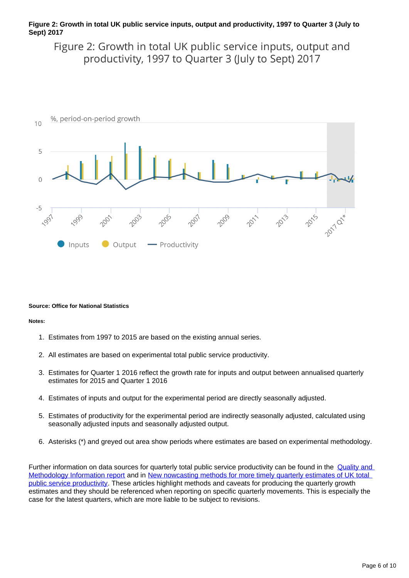### **Figure 2: Growth in total UK public service inputs, output and productivity, 1997 to Quarter 3 (July to Sept) 2017**

Figure 2: Growth in total UK public service inputs, output and productivity, 1997 to Quarter 3 (July to Sept) 2017



#### **Source: Office for National Statistics**

#### **Notes:**

- 1. Estimates from 1997 to 2015 are based on the existing annual series.
- 2. All estimates are based on experimental total public service productivity.
- 3. Estimates for Quarter 1 2016 reflect the growth rate for inputs and output between annualised quarterly estimates for 2015 and Quarter 1 2016
- 4. Estimates of inputs and output for the experimental period are directly seasonally adjusted.
- 5. Estimates of productivity for the experimental period are indirectly seasonally adjusted, calculated using seasonally adjusted inputs and seasonally adjusted output.
- 6. Asterisks (\*) and greyed out area show periods where estimates are based on experimental methodology.

Further information on data sources for quarterly total public service productivity can be found in the **Quality and** [Methodology Information report](https://www.ons.gov.uk/file?uri=/economy/economicoutputandproductivity/publicservicesproductivity/qmis/publicserviceproductivityestimatestotalpublicservicesqmi/qmiquarterlypublicserviceproductivityfinalforpub.pdf) and in [New nowcasting methods for more timely quarterly estimates of UK total](https://www.ons.gov.uk/economy/economicoutputandproductivity/publicservicesproductivity/methodologies/newnowcastingmethodsformoretimelyquarterlyestimatesofuktotalpublicserviceproductivity)  [public service productivity.](https://www.ons.gov.uk/economy/economicoutputandproductivity/publicservicesproductivity/methodologies/newnowcastingmethodsformoretimelyquarterlyestimatesofuktotalpublicserviceproductivity) These articles highlight methods and caveats for producing the quarterly growth estimates and they should be referenced when reporting on specific quarterly movements. This is especially the case for the latest quarters, which are more liable to be subject to revisions.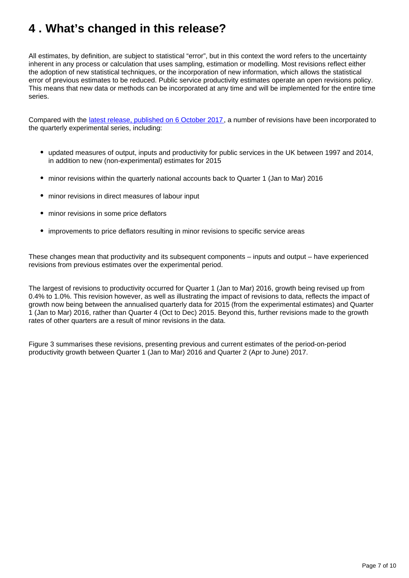# <span id="page-6-0"></span>**4 . What's changed in this release?**

All estimates, by definition, are subject to statistical "error", but in this context the word refers to the uncertainty inherent in any process or calculation that uses sampling, estimation or modelling. Most revisions reflect either the adoption of new statistical techniques, or the incorporation of new information, which allows the statistical error of previous estimates to be reduced. Public service productivity estimates operate an open revisions policy. This means that new data or methods can be incorporated at any time and will be implemented for the entire time series.

Compared with the [latest release, published on 6 October 2017,](https://www.ons.gov.uk/employmentandlabourmarket/peopleinwork/labourproductivity/articles/quarterlypublicserviceproductivityexperimentalstatistics/apriltojune2017) a number of revisions have been incorporated to the quarterly experimental series, including:

- updated measures of output, inputs and productivity for public services in the UK between 1997 and 2014, in addition to new (non-experimental) estimates for 2015
- minor revisions within the quarterly national accounts back to Quarter 1 (Jan to Mar) 2016
- minor revisions in direct measures of labour input
- minor revisions in some price deflators
- improvements to price deflators resulting in minor revisions to specific service areas

These changes mean that productivity and its subsequent components – inputs and output – have experienced revisions from previous estimates over the experimental period.

The largest of revisions to productivity occurred for Quarter 1 (Jan to Mar) 2016, growth being revised up from 0.4% to 1.0%. This revision however, as well as illustrating the impact of revisions to data, reflects the impact of growth now being between the annualised quarterly data for 2015 (from the experimental estimates) and Quarter 1 (Jan to Mar) 2016, rather than Quarter 4 (Oct to Dec) 2015. Beyond this, further revisions made to the growth rates of other quarters are a result of minor revisions in the data.

Figure 3 summarises these revisions, presenting previous and current estimates of the period-on-period productivity growth between Quarter 1 (Jan to Mar) 2016 and Quarter 2 (Apr to June) 2017.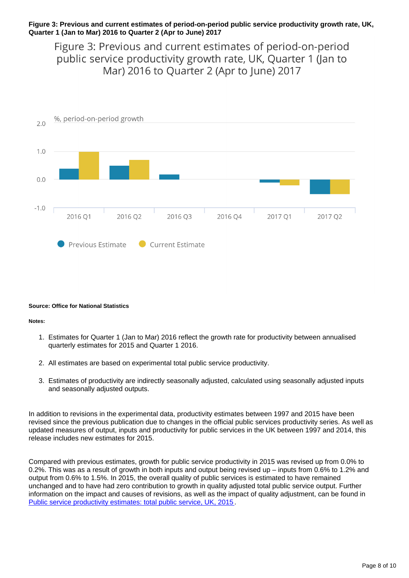### **Figure 3: Previous and current estimates of period-on-period public service productivity growth rate, UK, Quarter 1 (Jan to Mar) 2016 to Quarter 2 (Apr to June) 2017**

Figure 3: Previous and current estimates of period-on-period public service productivity growth rate, UK, Quarter 1 (Jan to Mar) 2016 to Quarter 2 (Apr to June) 2017



#### **Source: Office for National Statistics**

#### **Notes:**

- 1. Estimates for Quarter 1 (Jan to Mar) 2016 reflect the growth rate for productivity between annualised quarterly estimates for 2015 and Quarter 1 2016.
- 2. All estimates are based on experimental total public service productivity.
- 3. Estimates of productivity are indirectly seasonally adjusted, calculated using seasonally adjusted inputs and seasonally adjusted outputs.

In addition to revisions in the experimental data, productivity estimates between 1997 and 2015 have been revised since the previous publication due to changes in the official public services productivity series. As well as updated measures of output, inputs and productivity for public services in the UK between 1997 and 2014, this release includes new estimates for 2015.

Compared with previous estimates, growth for public service productivity in 2015 was revised up from 0.0% to 0.2%. This was as a result of growth in both inputs and output being revised up – inputs from 0.6% to 1.2% and output from 0.6% to 1.5%. In 2015, the overall quality of public services is estimated to have remained unchanged and to have had zero contribution to growth in quality adjusted total public service output. Further information on the impact and causes of revisions, as well as the impact of quality adjustment, can be found in [Public service productivity estimates: total public service, UK, 2015](https://www.ons.gov.uk/economy/economicoutputandproductivity/publicservicesproductivity/articles/publicservicesproductivityestimatestotalpublicservices/2015).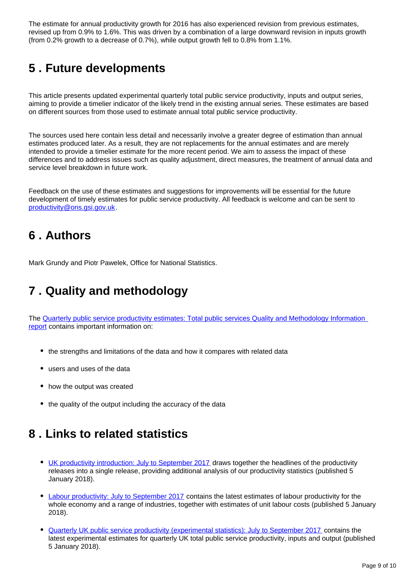The estimate for annual productivity growth for 2016 has also experienced revision from previous estimates, revised up from 0.9% to 1.6%. This was driven by a combination of a large downward revision in inputs growth (from 0.2% growth to a decrease of 0.7%), while output growth fell to 0.8% from 1.1%.

# <span id="page-8-0"></span>**5 . Future developments**

This article presents updated experimental quarterly total public service productivity, inputs and output series, aiming to provide a timelier indicator of the likely trend in the existing annual series. These estimates are based on different sources from those used to estimate annual total public service productivity.

The sources used here contain less detail and necessarily involve a greater degree of estimation than annual estimates produced later. As a result, they are not replacements for the annual estimates and are merely intended to provide a timelier estimate for the more recent period. We aim to assess the impact of these differences and to address issues such as quality adjustment, direct measures, the treatment of annual data and service level breakdown in future work.

Feedback on the use of these estimates and suggestions for improvements will be essential for the future development of timely estimates for public service productivity. All feedback is welcome and can be sent to productivity@ons.gsi.gov.uk.

### <span id="page-8-1"></span>**6 . Authors**

Mark Grundy and Piotr Pawelek, Office for National Statistics.

# <span id="page-8-2"></span>**7 . Quality and methodology**

The [Quarterly public service productivity estimates: Total public services Quality and Methodology Information](https://www.ons.gov.uk/file?uri=/economy/economicoutputandproductivity/publicservicesproductivity/qmis/publicserviceproductivityestimatestotalpublicservicesqmi/qmiquarterlypublicserviceproductivityfinalforpub.pdf)  [report](https://www.ons.gov.uk/file?uri=/economy/economicoutputandproductivity/publicservicesproductivity/qmis/publicserviceproductivityestimatestotalpublicservicesqmi/qmiquarterlypublicserviceproductivityfinalforpub.pdf) contains important information on:

- the strengths and limitations of the data and how it compares with related data
- users and uses of the data
- how the output was created
- the quality of the output including the accuracy of the data

### <span id="page-8-3"></span>**8 . Links to related statistics**

- [UK productivity introduction: July to September 2017](https://www.ons.gov.uk/employmentandlabourmarket/peopleinwork/labourproductivity/articles/ukproductivityintroduction/julytoseptember2017) draws together the headlines of the productivity releases into a single release, providing additional analysis of our productivity statistics (published 5 January 2018).
- [Labour productivity: July to September 2017](https://www.ons.gov.uk/employmentandlabourmarket/peopleinwork/labourproductivity/bulletins/labourproductivity/julytoseptember2017) contains the latest estimates of labour productivity for the whole economy and a range of industries, together with estimates of unit labour costs (published 5 January 2018).
- [Quarterly UK public service productivity \(experimental statistics\): July to September 2017](https://www.ons.gov.uk/employmentandlabourmarket/peopleinwork/labourproductivity/articles/quarterlypublicserviceproductivityexperimentalstatistics/julytoseptember2017) contains the latest experimental estimates for quarterly UK total public service productivity, inputs and output (published 5 January 2018).